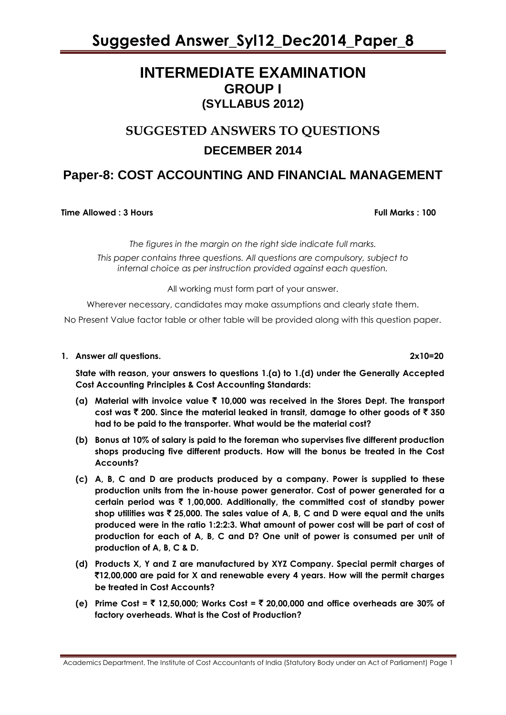### **INTERMEDIATE EXAMINATION GROUP I (SYLLABUS 2012)**

### **SUGGESTED ANSWERS TO QUESTIONS DECEMBER 2014**

### **Paper-8: COST ACCOUNTING AND FINANCIAL MANAGEMENT**

**Time Allowed : 3 Hours Full Marks Full Marks : 100** 

*The figures in the margin on the right side indicate full marks. This paper contains three questions. All questions are compulsory, subject to internal choice as per instruction provided against each question.*

All working must form part of your answer.

Wherever necessary, candidates may make assumptions and clearly state them.

No Present Value factor table or other table will be provided along with this question paper.

#### **1. Answer** *all* **questions. 2x10=20**

**State with reason, your answers to questions 1.(a) to 1.(d) under the Generally Accepted Cost Accounting Principles & Cost Accounting Standards:**

- **(a) Material with invoice value** ` **10,000 was received in the Stores Dept. The transport cost was** ` **200. Since the material leaked in transit, damage to other goods of** ` **350 had to be paid to the transporter. What would be the material cost?**
- **(b) Bonus at 10% of salary is paid to the foreman who supervises five different production shops producing five different products. How will the bonus be treated in the Cost Accounts?**
- **(c) A, B, C and D are products produced by a company. Power is supplied to these production units from the in-house power generator. Cost of power generated for a certain period was** ` **1,00,000. Additionally, the committed cost of standby power**  shop utilities was  $\bar{z}$  25,000. The sales value of A, B, C and D were equal and the units **produced were in the ratio 1:2:2:3. What amount of power cost will be part of cost of production for each of A, B, C and D? One unit of power is consumed per unit of production of A, B, C & D.**
- **(d) Products X, Y and Z are manufactured by XYZ Company. Special permit charges of** `**12,00,000 are paid for X and renewable every 4 years. How will the permit charges be treated in Cost Accounts?**
- **(e) Prime Cost =** ` **12,50,000; Works Cost =** ` **20,00,000 and office overheads are 30% of factory overheads. What is the Cost of Production?**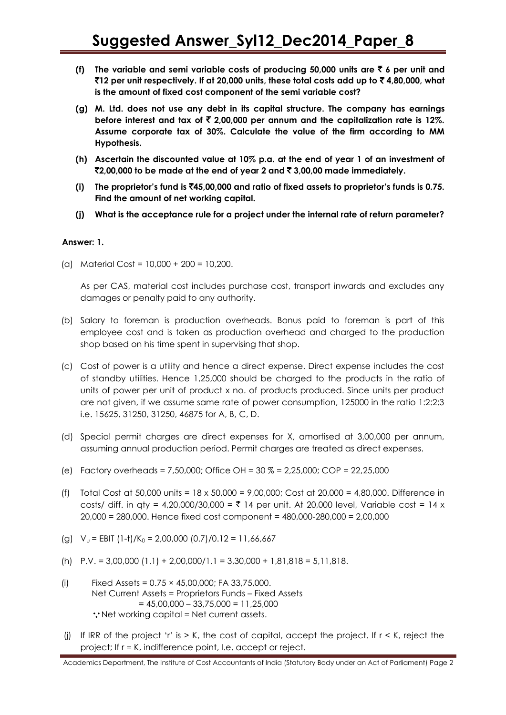- **(f) The variable and semi variable costs of producing 50,000 units are** ` **6 per unit and**  `**12 per unit respectively. If at 20,000 units, these total costs add up to** ` **4,80,000, what is the amount of fixed cost component of the semi variable cost?**
- **(g) M. Ltd. does not use any debt in its capital structure. The company has earnings before interest and tax of** ` **2,00,000 per annum and the capitalization rate is 12%. Assume corporate tax of 30%. Calculate the value of the firm according to MM Hypothesis.**
- **(h) Ascertain the discounted value at 10% p.a. at the end of year 1 of an investment of**  `**2,00,000 to be made at the end of year 2 and** ` **3,00,00 made immediately.**
- **(i) The proprietor's fund is** `**45,00,000 and ratio of fixed assets to proprietor's funds is 0.75. Find the amount of net working capital.**
- **(j) What is the acceptance rule for a project under the internal rate of return parameter?**

#### **Answer: 1.**

(a) Material Cost = 10,000 + 200 = 10,200.

As per CAS, material cost includes purchase cost, transport inwards and excludes any damages or penalty paid to any authority.

- (b) Salary to foreman is production overheads. Bonus paid to foreman is part of this employee cost and is taken as production overhead and charged to the production shop based on his time spent in supervising that shop.
- (c) Cost of power is a utility and hence a direct expense. Direct expense includes the cost of standby utilities. Hence 1,25,000 should be charged to the products in the ratio of units of power per unit of product x no. of products produced. Since units per product are not given, if we assume same rate of power consumption, 125000 in the ratio 1:2:2:3 i.e. 15625, 31250, 31250, 46875 for A, B, C, D.
- (d) Special permit charges are direct expenses for X, amortised at 3,00,000 per annum, assuming annual production period. Permit charges are treated as direct expenses.
- (e) Factory overheads = 7,50,000; Office OH = 30 % = 2,25,000; COP = 22,25,000
- (f) Total Cost at 50,000 units = 18 x 50,000 = 9,00,000; Cost at 20,000 = 4,80,000. Difference in costs/ diff. in qty = 4,20,000/30,000 =  $\overline{\tau}$  14 per unit. At 20,000 level, Variable cost = 14 x 20,000 = 280,000. Hence fixed cost component = 480,000-280,000 = 2,00,000
- (g)  $V_U = EBIT (1-t)/K_0 = 2,00,000 (0.7)/0.12 = 11,66,667$
- (h)  $P.V. = 3,00,000 (1.1) + 2,00,000/1.1 = 3,30,000 + 1,81,818 = 5,11,818.$
- (i) Fixed Assets =  $0.75 \times 45,00,000$ ; FA 33,75,000. Net Current Assets = Proprietors Funds – Fixed Assets  $= 45,00,000 - 33,75,000 = 11,25,000$ : Net working capital = Net current assets.
- (j) If IRR of the project 'r' is  $>$  K, the cost of capital, accept the project. If  $r <$  K, reject the project; If r = K, indifference point, I.e. accept or reject.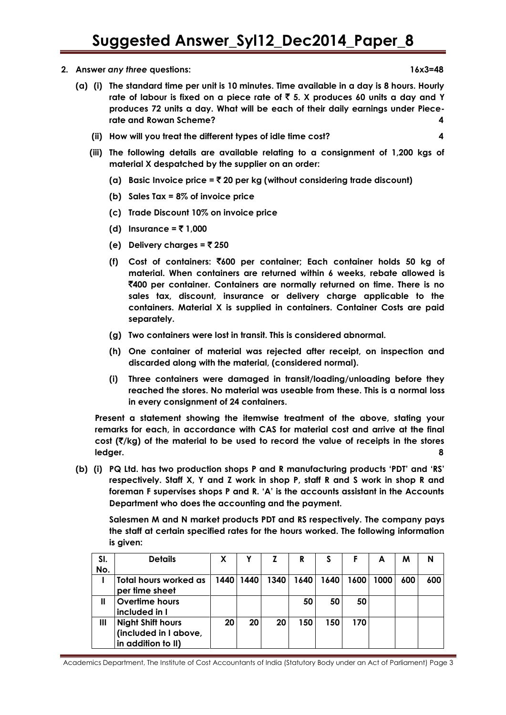- **2. Answer** *any three* **questions: 16x3=48**
	- **(a) (i) The standard time per unit is 10 minutes. Time available in a day is 8 hours. Hourly**  rate of labour is fixed on a piece rate of  $\bar{z}$  5. X produces 60 units a day and Y **produces 72 units a day. What will be each of their daily earnings under Piecerate and Rowan Scheme? 4**
		- **(ii) How will you treat the different types of idle time cost? 4**
		- **(iii) The following details are available relating to a consignment of 1,200 kgs of material X despatched by the supplier on an order:**
			- (a) Basic Invoice price  $=\bar{\tau}$  20 per kg (without considering trade discount)
			- **(b) Sales Tax = 8% of invoice price**
			- **(c) Trade Discount 10% on invoice price**
			- **(d)** Insurance =  $\bar{z}$  1,000
			- **(e)** Delivery charges =  $\overline{5}$  250
			- **(f) Cost of containers:** `**600 per container; Each container holds 50 kg of material. When containers are returned within 6 weeks, rebate allowed is**  `**400 per container. Containers are normally returned on time. There is no sales tax, discount, insurance or delivery charge applicable to the containers. Material X is supplied in containers. Container Costs are paid separately.**
			- **(g) Two containers were lost in transit. This is considered abnormal.**
			- **(h) One container of material was rejected after receipt, on inspection and discarded along with the material, (considered normal).**
			- **(i) Three containers were damaged in transit/loading/unloading before they reached the stores. No material was useable from these. This is a normal loss in every consignment of 24 containers.**

**Present a statement showing the itemwise treatment of the above, stating your remarks for each, in accordance with CAS for material cost and arrive at the final cost (**`**/kg) of the material to be used to record the value of receipts in the stores ledger. 8**

**(b) (i) PQ Ltd. has two production shops P and R manufacturing products 'PDT' and 'RS' respectively. Staff X, Y and Z work in shop P, staff R and S work in shop R and foreman F supervises shops P and R. 'A' is the accounts assistant in the Accounts Department who does the accounting and the payment.**

**Salesmen M and N market products PDT and RS respectively. The company pays the staff at certain specified rates for the hours worked. The following information is given:**

| SI.<br>No. | <b>Details</b>                                                          | χ    |      |      | R    |      |      | A    | м   | N   |
|------------|-------------------------------------------------------------------------|------|------|------|------|------|------|------|-----|-----|
|            | Total hours worked as<br>per time sheet                                 | 1440 | 1440 | 1340 | 1640 | 1640 | 1600 | 1000 | 600 | 600 |
| Ш          | Overtime hours<br>included in I                                         |      |      |      | 50   | 50   | 50   |      |     |     |
| Ш          | <b>Night Shift hours</b><br>(included in I above,<br>in addition to II) | 20   | 20   | 20   | 150  | 150  | 170  |      |     |     |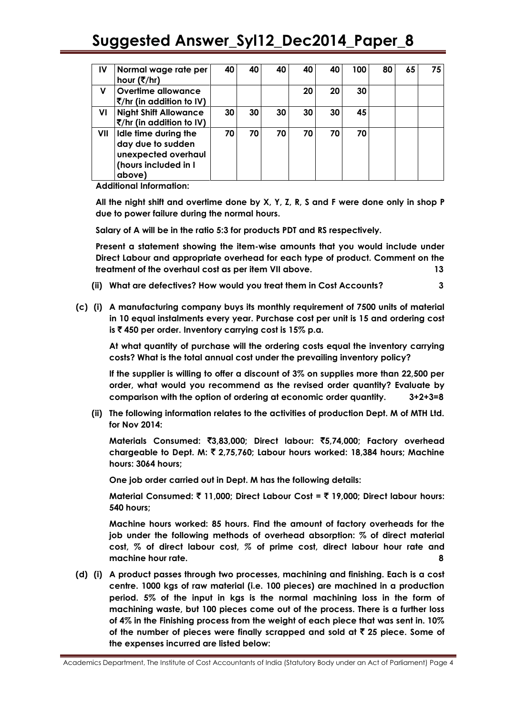| IV  | Normal wage rate per<br>hour $(\overline{\mathbf{z}}/hr)$                                          | 40 | 40 | 40 | 40 | 40 | 100 | 80 | 65 | 75 |
|-----|----------------------------------------------------------------------------------------------------|----|----|----|----|----|-----|----|----|----|
| v   | Overtime allowance<br>$\overline{\xi}$ /hr (in addition to IV)                                     |    |    |    | 20 | 20 | 30  |    |    |    |
| VI  | <b>Night Shift Allowance</b><br>$\overline{\xi}$ /hr (in addition to IV)                           | 30 | 30 | 30 | 30 | 30 | 45  |    |    |    |
| VII | Idle time during the<br>day due to sudden<br>unexpected overhaul<br>(hours included in I<br>above) |    | 70 | 70 | 70 | 70 | 70  |    |    |    |

**Additional Information:**

**All the night shift and overtime done by X, Y, Z, R, S and F were done only in shop P due to power failure during the normal hours.**

**Salary of A will be in the ratio 5:3 for products PDT and RS respectively.**

**Present a statement showing the item-wise amounts that you would include under Direct Labour and appropriate overhead for each type of product. Comment on the treatment of the overhaul cost as per item VII above. 13**

- **(ii) What are defectives? How would you treat them in Cost Accounts? 3**
- **(c) (i) A manufacturing company buys its monthly requirement of 7500 units of material in 10 equal instalments every year. Purchase cost per unit is 15 and ordering cost is** ` **450 per order. Inventory carrying cost is 15% p.a.**

**At what quantity of purchase will the ordering costs equal the inventory carrying costs? What is the total annual cost under the prevailing inventory policy?**

**If the supplier is willing to offer a discount of 3% on supplies more than 22,500 per order, what would you recommend as the revised order quantity? Evaluate by comparison with the option of ordering at economic order quantity. 3+2+3=8**

**(ii) The following information relates to the activities of production Dept. M of MTH Ltd. for Nov 2014:**

**Materials Consumed:** `**3,83,000; Direct labour:** `**5,74,000; Factory overhead chargeable to Dept. M:** ` **2,75,760; Labour hours worked: 18,384 hours; Machine hours: 3064 hours;**

**One job order carried out in Dept. M has the following details:**

**Material Consumed:** ` **11,000; Direct Labour Cost =** ` **19,000; Direct labour hours: 540 hours;**

**Machine hours worked: 85 hours. Find the amount of factory overheads for the job under the following methods of overhead absorption: % of direct material cost, % of direct labour cost,** *%* **of prime cost, direct labour hour rate and machine hour rate. 8**

**(d) (i) A product passes through two processes, machining and finishing. Each is a cost centre. 1000 kgs of raw material (i.e. 100 pieces) are machined in a production period. 5% of the input in kgs is the normal machining loss in the form of machining waste, but 100 pieces come out of the process. There is a further loss of 4% in the Finishing process from the weight of each piece that was sent in. 10% of the number of pieces were finally scrapped and sold at** ` **25 piece. Some of the expenses incurred are listed below:**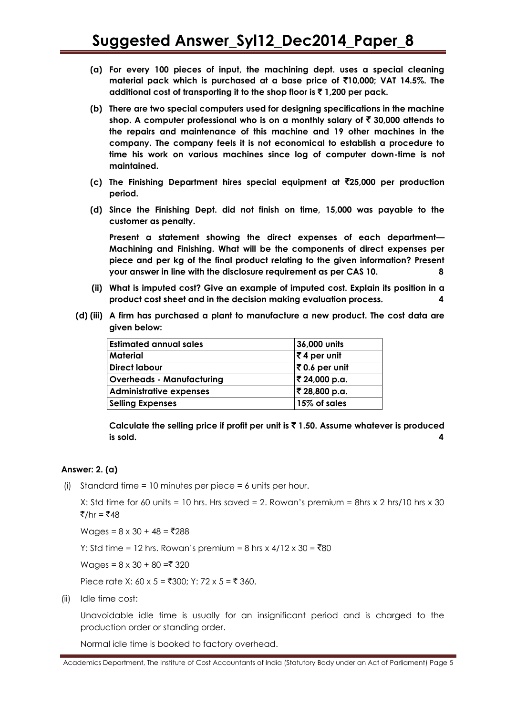- **(a) For every 100 pieces of input, the machining dept. uses a special cleaning material pack which is purchased at a base price of** `**10,000; VAT 14.5%. The additional cost of transporting it to the shop floor is** ` **1,200 per pack.**
- **(b) There are two special computers used for designing specifications in the machine shop. A computer professional who is on a monthly salary of** ` **30,000 attends to the repairs and maintenance of this machine and 19 other machines in the company. The company feels it is not economical to establish a procedure to time his work on various machines since log of computer down-time is not maintained.**
- **(c) The Finishing Department hires special equipment at** `**25,000 per production period.**
- **(d) Since the Finishing Dept. did not finish on time, 15,000 was payable to the customer as penalty.**

**Present a statement showing the direct expenses of each department— Machining and Finishing. What will be the components of direct expenses per piece and per kg of the final product relating to the given information? Present your answer in line with the disclosure requirement as per CAS 10. 8**

- **(ii) What is imputed cost? Give an example of imputed cost. Explain its position in a product cost sheet and in the decision making evaluation process. 4**
- **(d) (iii) A firm has purchased a plant to manufacture a new product. The cost data are given below:**

| <b>Estimated annual sales</b>    | 36,000 units  |
|----------------------------------|---------------|
| <b>Material</b>                  | ₹4 per unit   |
| <b>Direct labour</b>             | ₹0.6 per unit |
| <b>Overheads - Manufacturing</b> | ₹ 24,000 p.a. |
| <b>Administrative expenses</b>   | ₹ 28,800 p.a. |
| <b>Selling Expenses</b>          | 15% of sales  |

**Calculate the selling price if profit per unit is** ` **1.50. Assume whatever is produced is sold. 4**

#### **Answer: 2. (a)**

(i) Standard time = 10 minutes per piece = 6 units per hour.

X: Std time for 60 units = 10 hrs. Hrs saved = 2. Rowan's premium = 8hrs  $\times$  2 hrs/10 hrs  $\times$  30  $\overline{5}$ /hr =  $\overline{5}$ 48

 $W$ gges = 8 x 30 + 48 =  $\overline{5}$ 288

Y: Std time = 12 hrs. Rowan's premium = 8 hrs x  $4/12$  x 30 = ₹80

Wages =  $8 \times 30 + 80 = 7320$ 

Piece rate X: 60 x 5 =  $\overline{300}$ : Y: 72 x 5 =  $\overline{5}$  360.

(ii) Idle time cost:

Unavoidable idle time is usually for an insignificant period and is charged to the production order or standing order.

Normal idle time is booked to factory overhead.

Academics Department, The Institute of Cost Accountants of India (Statutory Body under an Act of Parliament) Page 5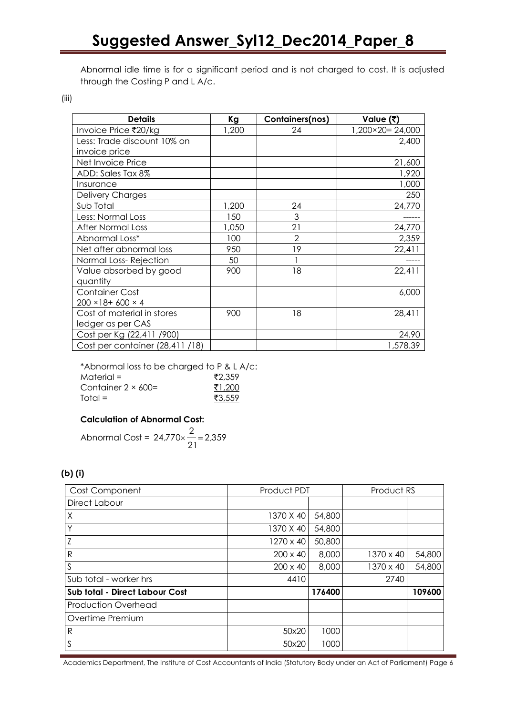Abnormal idle time is for a significant period and is not charged to cost. It is adjusted through the Costing P and L A/c.

(iii)

| <b>Details</b>                 | Кg    | Containers(nos) | Value (₹)       |
|--------------------------------|-------|-----------------|-----------------|
| Invoice Price ₹20/kg           | 1,200 | 24              | 1,200×20=24,000 |
| Less: Trade discount 10% on    |       |                 | 2,400           |
| invoice price                  |       |                 |                 |
| Net Invoice Price              |       |                 | 21,600          |
| ADD: Sales Tax 8%              |       |                 | 1,920           |
| Insurance                      |       |                 | 1,000           |
| <b>Delivery Charges</b>        |       |                 | 250             |
| Sub Total                      | 1,200 | 24              | 24,770          |
| Less: Normal Loss              | 150   | 3               |                 |
| <b>After Normal Loss</b>       | 1,050 | 21              | 24,770          |
| Abnormal Loss*                 | 100   | $\overline{2}$  | 2,359           |
| Net after abnormal loss        | 950   | 19              | 22,411          |
| Normal Loss-Rejection          | 50    |                 |                 |
| Value absorbed by good         | 900   | 18              | 22,411          |
| quantity                       |       |                 |                 |
| <b>Container Cost</b>          |       |                 | 6,000           |
| $200 \times 18 + 600 \times 4$ |       |                 |                 |
| Cost of material in stores     | 900   | 18              | 28,411          |
| ledger as per CAS              |       |                 |                 |
| Cost per Kg (22,411 /900)      |       |                 | 24.90           |
| Cost per container (28,411/18) |       |                 | 1,578.39        |

\*Abnormal loss to be charged to P & L A/c:  $\text{Material} =$   $\overline{z}2,359$ Container  $2 \times 600=$  ₹1,200  $Total = 3,559$ 

#### **Calculation of Abnormal Cost:**

Abnormal Cost =  $24,770 \times - = 2,359$ 21  $24,770 \times \frac{2}{1}$ 

#### **(b) (i)**

| Cost Component                 | Product PDT     |        | Product RS       |        |
|--------------------------------|-----------------|--------|------------------|--------|
| Direct Labour                  |                 |        |                  |        |
| $\times$                       | 1370 X 40       | 54,800 |                  |        |
| Y                              | 1370 X 40       | 54,800 |                  |        |
| Z                              | 1270 x 40       | 50,800 |                  |        |
| $\mathsf{R}$                   | $200 \times 40$ | 8,000  | $1370 \times 40$ | 54,800 |
| S                              | $200 \times 40$ | 8,000  | 1370 x 40        | 54,800 |
| Sub total - worker hrs         | 4410            |        | 2740             |        |
| Sub total - Direct Labour Cost |                 | 176400 |                  | 109600 |
| <b>Production Overhead</b>     |                 |        |                  |        |
| Overtime Premium               |                 |        |                  |        |
| $\mathsf{R}$                   | 50x20           | 1000   |                  |        |
| $\overline{\mathsf{S}}$        | 50x20           | 1000   |                  |        |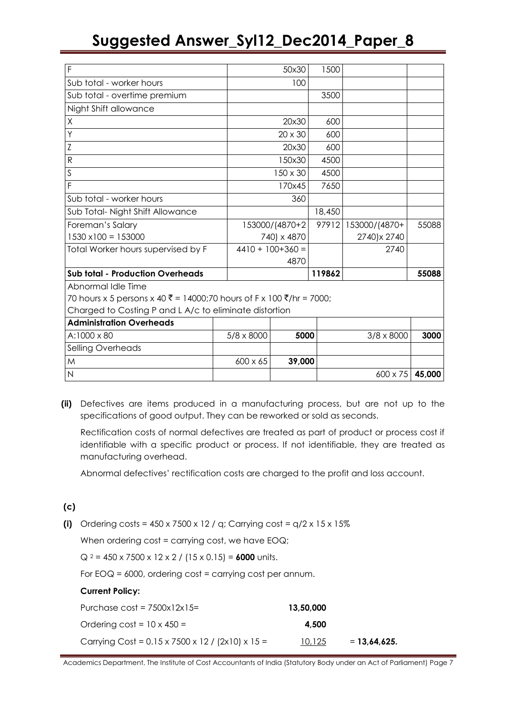| $\overline{F}$                                                       |                   | 50x30                | 1500   |                   |       |
|----------------------------------------------------------------------|-------------------|----------------------|--------|-------------------|-------|
| Sub total - worker hours                                             |                   | 100                  |        |                   |       |
| Sub total - overtime premium                                         |                   |                      | 3500   |                   |       |
| Night Shift allowance                                                |                   |                      |        |                   |       |
| X                                                                    |                   | 20x30                | 600    |                   |       |
| Υ                                                                    |                   | $20 \times 30$       | 600    |                   |       |
| $\ensuremath{\mathsf{Z}}$                                            |                   | 20x30                | 600    |                   |       |
| $\mathsf{R}$                                                         |                   | 150x30               | 4500   |                   |       |
| S                                                                    |                   | $150 \times 30$      | 4500   |                   |       |
| F                                                                    |                   | 170x45               | 7650   |                   |       |
| Sub total - worker hours                                             |                   | 360                  |        |                   |       |
| Sub Total- Night Shift Allowance                                     |                   |                      | 18,450 |                   |       |
| Foreman's Salary                                                     |                   | 153000/(4870+2)      | 97912  | 153000/(4870+     | 55088 |
| $1530 \times 100 = 153000$                                           |                   | 740) x 4870          |        | 2740) x 2740      |       |
| Total Worker hours supervised by F                                   |                   | $4410 + 100 + 360 =$ |        | 2740              |       |
|                                                                      |                   | 4870                 |        |                   |       |
| <b>Sub total - Production Overheads</b>                              |                   |                      | 119862 |                   | 55088 |
| Abnormal Idle Time                                                   |                   |                      |        |                   |       |
| 70 hours x 5 persons x 40 ₹ = 14000;70 hours of F x 100 ₹/hr = 7000; |                   |                      |        |                   |       |
| Charged to Costing P and L A/c to eliminate distortion               |                   |                      |        |                   |       |
| <b>Administration Overheads</b>                                      |                   |                      |        |                   |       |
| $A \cdot 1000 \times 80$                                             | $5/8 \times 8000$ | 5000                 |        | $3/8 \times 8000$ | 3000. |

| Administration Overneggs |                 |        |                          |      |
|--------------------------|-----------------|--------|--------------------------|------|
| A:1000 x 80              | 5/8 x 8000      | 5000   | $3/8 \times 8000$        | 3000 |
| Selling Overheads        |                 |        |                          |      |
| M                        | $600 \times 65$ | 39,000 |                          |      |
| N                        |                 |        | $600 \times 75$   45,000 |      |

**(ii)** Defectives are items produced in a manufacturing process, but are not up to the specifications of good output. They can be reworked or sold as seconds.

Rectification costs of normal defectives are treated as part of product or process cost if identifiable with a specific product or process. If not identifiable, they are treated as manufacturing overhead.

Abnormal defectives' rectification costs are charged to the profit and loss account.

### **(c)**

**(i)** Ordering costs =  $450 \times 7500 \times 12$  / q; Carrying cost =  $q/2 \times 15 \times 15\%$ 

When ordering cost = carrying cost, we have EOQ;

 $Q = 450 \times 7500 \times 12 \times 2 / (15 \times 0.15) = 6000$  units.

For  $EOQ = 6000$ , ordering cost = carrying cost per annum.

| <b>Current Policy:</b>                                       |           |                |
|--------------------------------------------------------------|-----------|----------------|
| Purchase $cost = 7500x12x15=$                                | 13,50,000 |                |
| Ordering $cost = 10 \times 450 =$                            | 4.500     |                |
| Carrying Cost = $0.15 \times 7500 \times 12$ / (2x10) x 15 = | 10,125    | $= 13,64,625.$ |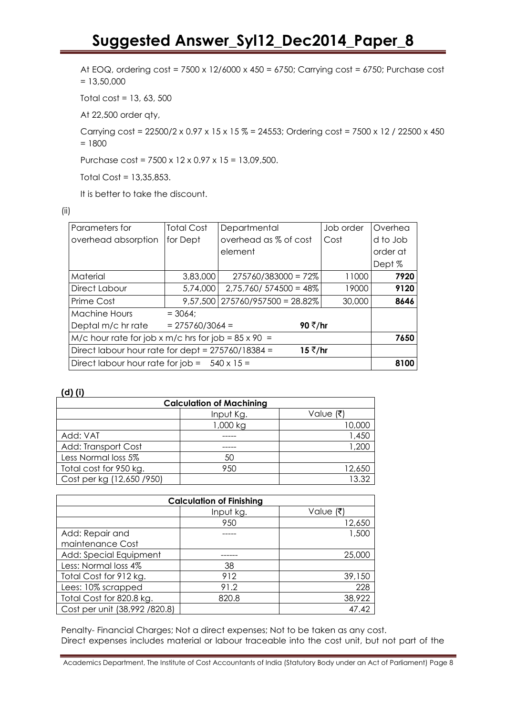At EOQ, ordering cost = 7500 x 12/6000 x 450 = 6750; Carrying cost = 6750; Purchase cost  $= 13,50,000$ 

Total cost =  $13, 63, 500$ 

At 22,500 order qty,

Carrying cost = 22500/2 x 0.97 x 15 x 15 % = 24553; Ordering cost = 7500 x 12 / 22500 x 450  $= 1800$ 

Purchase cost = 7500 x 12 x 0.97 x 15 = 13,09,500.

Total Cost = 13,35,853.

It is better to take the discount.

(ii)

| Parameters for                                                 | <b>Total Cost</b> | Departmental                        | Job order | Overhea  |  |  |
|----------------------------------------------------------------|-------------------|-------------------------------------|-----------|----------|--|--|
| overhead absorption                                            | for Dept          | overhead as % of cost               | Cost      | d to Job |  |  |
|                                                                |                   | element                             |           | order at |  |  |
|                                                                |                   |                                     |           | Dept %   |  |  |
| Material                                                       | 3,83,000          | $275760/383000 = 72\%$              | 11000     | 7920     |  |  |
| Direct Labour                                                  | 5,74,000          | $2,75,760/574500 = 48\%$            | 19000     | 9120     |  |  |
| Prime Cost                                                     |                   | $9,57,500$   275760/957500 = 28.82% | 30,000    | 8646     |  |  |
| Machine Hours                                                  | $= 3064;$         |                                     |           |          |  |  |
| Deptal m/c hr rate                                             | $= 275760/3064 =$ | 90 ₹/hr                             |           |          |  |  |
| $M/c$ hour rate for job x m/c hrs for job = 85 x 90 =          |                   |                                     |           | 7650     |  |  |
| Direct labour hour rate for dept = $275760/18384 =$<br>15 ₹/hr |                   |                                     |           |          |  |  |
| Direct labour hour rate for job = $540 \times 15 =$            |                   |                                     |           |          |  |  |

**(d) (i)**

| <b>Calculation of Machining</b> |           |           |  |  |  |
|---------------------------------|-----------|-----------|--|--|--|
|                                 | Input Kg. | Value (₹) |  |  |  |
|                                 | 1,000 kg  | 10,000    |  |  |  |
| Add: VAT                        |           | 1,45C     |  |  |  |
| Add: Transport Cost             |           | ,200      |  |  |  |
| Less Normal loss 5%             | 50        |           |  |  |  |
| Total cost for 950 kg.          | 950       | 12,650    |  |  |  |
| Cost per kg (12,650/950)        |           | 13.32     |  |  |  |

| <b>Calculation of Finishing</b> |           |           |  |  |  |
|---------------------------------|-----------|-----------|--|--|--|
|                                 | Input kg. | Value (₹) |  |  |  |
|                                 | 950       | 12,650    |  |  |  |
| Add: Repair and                 |           | 1,500     |  |  |  |
| maintenance Cost                |           |           |  |  |  |
| Add: Special Equipment          |           | 25,000    |  |  |  |
| Less: Normal loss 4%            | 38        |           |  |  |  |
| Total Cost for 912 kg.          | 912       | 39,150    |  |  |  |
| Lees: 10% scrapped              | 91.2      | 228       |  |  |  |
| Total Cost for 820.8 kg.        | 820.8     | 38,922    |  |  |  |
| Cost per unit (38,992 /820.8)   |           | 47.42     |  |  |  |

Penalty- Financial Charges; Not a direct expenses; Not to be taken as any cost. Direct expenses includes material or labour traceable into the cost unit, but not part of the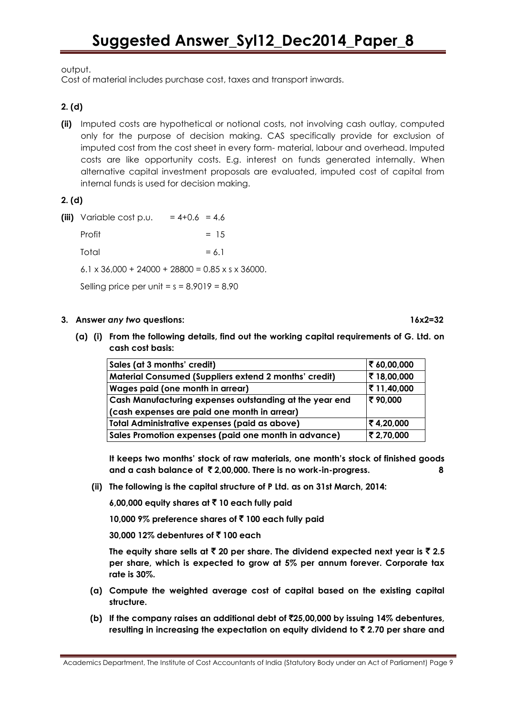output.

Cost of material includes purchase cost, taxes and transport inwards.

### **2. (d)**

**(ii)** Imputed costs are hypothetical or notional costs, not involving cash outlay, computed only for the purpose of decision making. CAS specifically provide for exclusion of imputed cost from the cost sheet in every form- material, labour and overhead. Imputed costs are like opportunity costs. E.g. interest on funds generated internally. When alternative capital investment proposals are evaluated, imputed cost of capital from internal funds is used for decision making.

#### **2. (d)**

**(iii)** Variable cost p.u.  $= 4+0.6 = 4.6$ Profit  $= 15$  $\text{Total}$  = 6.1 6.1  $\times$  36.000 + 24000 + 28800 = 0.85  $\times$  s  $\times$  36000.

Selling price per unit  $= s = 8.9019 = 8.90$ 

#### **3. Answer** *any two* **questions: 16x2=32**

**(a) (i) From the following details, find out the working capital requirements of G. Ltd. on cash cost basis:**

| Sales (at 3 months' credit)                                  | ₹ 60,00,000 |
|--------------------------------------------------------------|-------------|
| <b>Material Consumed (Suppliers extend 2 months' credit)</b> | ₹18,00,000  |
| Wages paid (one month in arrear)                             | ₹11,40,000  |
| Cash Manufacturing expenses outstanding at the year end      | ₹90,000     |
| (cash expenses are paid one month in arrear)                 |             |
| <b>Total Administrative expenses (paid as above)</b>         | ₹4,20,000   |
| Sales Promotion expenses (paid one month in advance)         | ₹2,70,000   |

**It keeps two months' stock of raw materials, one month's stock of finished goods and a cash balance of** ` **2,00,000. There is no work-in-progress. 8**

**(ii) The following is the capital structure of P Ltd. as on 31st March, 2014:**

**6,00,000 equity shares at** ` **10 each fully paid**

**10,000 9% preference shares of** ` **100 each fully paid**

**30,000 12% debentures of** ` **100 each**

The equity share sells at  $\bar{z}$  20 per share. The dividend expected next year is  $\bar{z}$  2.5 **per share, which is expected to grow at 5% per annum forever. Corporate tax rate is 30%.**

- **(a) Compute the weighted average cost of capital based on the existing capital structure.**
- **(b) If the company raises an additional debt of** `**25,00,000 by issuing 14% debentures, resulting in increasing the expectation on equity dividend to** ` **2.70 per share and**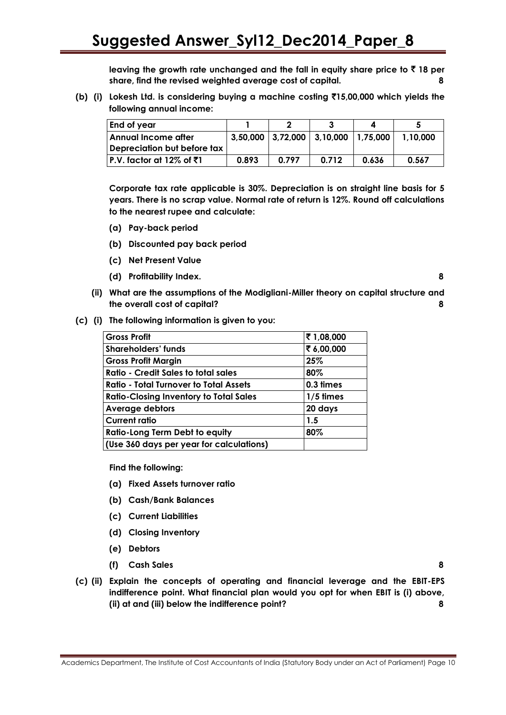**leaving the growth rate unchanged and the fall in equity share price to** ` **18 per share, find the revised weighted average cost of capital. 8**

**(b) (i) Lokesh Ltd. is considering buying a machine costing** `**15,00,000 which yields the following annual income:**

| End of year                         |       |       |                                             |       |          |
|-------------------------------------|-------|-------|---------------------------------------------|-------|----------|
| <b>Annual Income after</b>          |       |       | $3,50,000$ $3,72,000$ $3,10,000$ $1,75,000$ |       | 1.10.000 |
| Depreciation but before tax         |       |       |                                             |       |          |
| $ P.V.$ factor at 12% of $\bar{5}1$ | 0.893 | በ 797 | 0.712                                       | 0.636 | 0.567    |

**Corporate tax rate applicable is 30%. Depreciation is on straight line basis for 5 years. There is no scrap value. Normal rate of return is 12%. Round off calculations to the nearest rupee and calculate:**

- **(a) Pay-back period**
- **(b) Discounted pay back period**
- **(c) Net Present Value**
- **(d) Profitability Index. 8**

- **(ii) What are the assumptions of the Modigliani-Miller theory on capital structure and the overall cost of capital? 8**
- **(c) (i) The following information is given to you:**

| <b>Gross Profit</b>                           | ₹1,08,000   |
|-----------------------------------------------|-------------|
| <b>Shareholders' funds</b>                    | ₹6,00,000   |
| <b>Gross Profit Margin</b>                    | 25%         |
| <b>Ratio - Credit Sales to total sales</b>    | 80%         |
| <b>Ratio - Total Turnover to Total Assets</b> | 0.3 times   |
| <b>Ratio-Closing Inventory to Total Sales</b> | $1/5$ times |
| <b>Average debtors</b>                        | 20 days     |
| <b>Current ratio</b>                          | 1.5         |
| <b>Ratio-Long Term Debt to equity</b>         | 80%         |
| (Use 360 days per year for calculations)      |             |

**Find the following:** 

- **(a) Fixed Assets turnover ratio**
- **(b) Cash/Bank Balances**
- **(c) Current Liabilities**
- **(d) Closing Inventory**
- **(e) Debtors**
- **(f) Cash Sales 8**

**(c) (ii) Explain the concepts of operating and financial leverage and the EBIT-EPS indifference point. What financial plan would you opt for when EBIT is (i) above, (ii) at and (iii) below the indifference point? 8**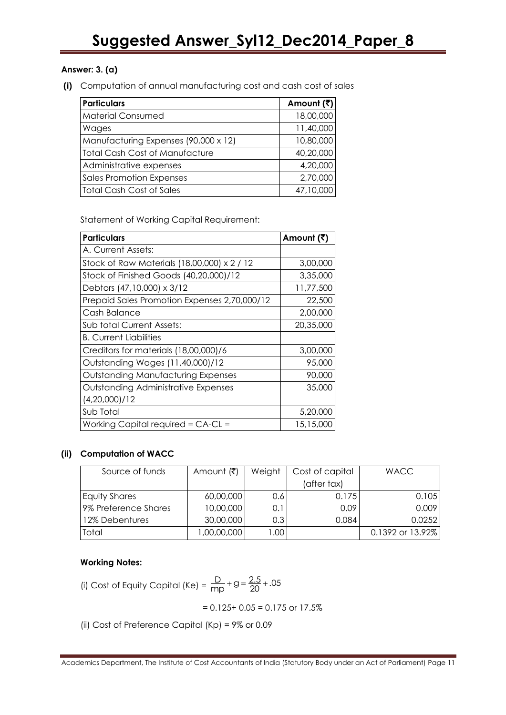#### **Answer: 3. (a)**

**(i)** Computation of annual manufacturing cost and cash cost of sales

| <b>Particulars</b>                    | Amount (₹) |
|---------------------------------------|------------|
| <b>Material Consumed</b>              | 18,00,000  |
| Wages                                 | 11,40,000  |
| Manufacturing Expenses (90,000 x 12)  | 10,80,000  |
| <b>Total Cash Cost of Manufacture</b> | 40,20,000  |
| Administrative expenses               | 4,20,000   |
| <b>Sales Promotion Expenses</b>       | 2,70,000   |
| <b>Total Cash Cost of Sales</b>       | 47,10,000  |

Statement of Working Capital Requirement:

| <b>Particulars</b>                           | Amount (₹) |
|----------------------------------------------|------------|
| A. Current Assets:                           |            |
| Stock of Raw Materials (18,00,000) x 2 / 12  | 3,00,000   |
| Stock of Finished Goods (40,20,000)/12       | 3,35,000   |
| Debtors (47,10,000) x 3/12                   | 11,77,500  |
| Prepaid Sales Promotion Expenses 2,70,000/12 | 22,500     |
| Cash Balance                                 | 2,00,000   |
| Sub total Current Assets:                    | 20,35,000  |
| <b>B.</b> Current Liabilities                |            |
| Creditors for materials (18,00,000)/6        | 3,00,000   |
| Outstanding Wages (11,40,000)/12             | 95,000     |
| <b>Outstanding Manufacturing Expenses</b>    | 90,000     |
| Outstanding Administrative Expenses          | 35,000     |
| (4,20,000)/12                                |            |
| Sub Total                                    | 5,20,000   |
| Working Capital required = CA-CL =           | 15,15,000  |

#### **(ii) Computation of WACC**

| Source of funds      | Amount (₹)   | Weight | Cost of capital | <b>WACC</b>      |
|----------------------|--------------|--------|-----------------|------------------|
|                      |              |        | (after tax)     |                  |
| Equity Shares        | 60,00,000    | 0.6    | 0.175           | 0.105            |
| 9% Preference Shares | 10,00,000    | 0.1    | 0.09            | 0.009            |
| 12% Debentures       | 30,00,000    | 0.3    | 0.084           | 0.0252           |
| Total                | 00,00,000,00 | .00    |                 | 0.1392 or 13.92% |

#### **Working Notes:**

(i) Cost of Equity Capital (Ke) =  $\frac{D}{mp}$  + g =  $\frac{2.5}{20}$  + .05

$$
= 0.125 + 0.05 = 0.175 \text{ or } 17.5\%
$$

(ii) Cost of Preference Capital (Kp) = 9% or 0.09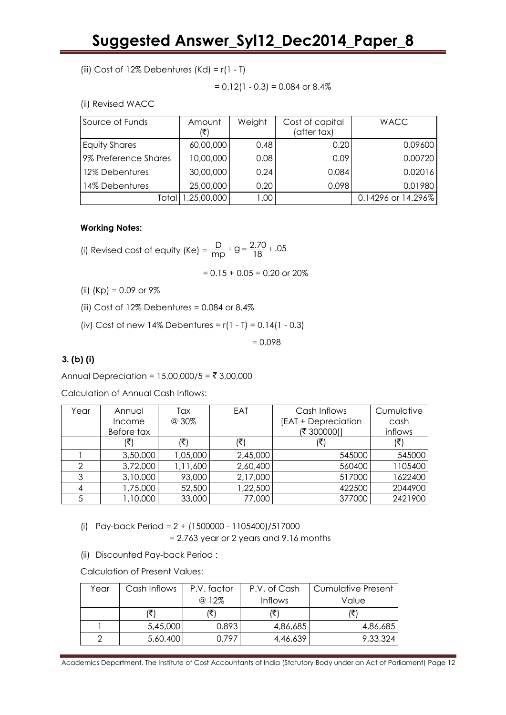(iii) Cost of 12% Debentures  $(Kd) = r(1 - T)$ 

 $= 0.12(1 - 0.3) = 0.084$  or 8.4%

(ii) Revised WACC

| Source of Funds      | Amount<br>(₹) | Weight | Cost of capital<br>(after tax) | <b>WACC</b>        |
|----------------------|---------------|--------|--------------------------------|--------------------|
| <b>Equity Shares</b> | 60,00,000     | 0.48   | 0.20                           | 0.09600            |
| 9% Preference Shares | 10,00,000     | 0.08   | 0.09                           | 0.00720            |
| 12% Debentures       | 30,00,000     | 0.24   | 0.084                          | 0.02016            |
| 14% Debentures       | 25,00,000     | 0.20   | 0.098                          | 0.01980            |
| Total                | ,25,00,000    | 00. ا  |                                | 0.14296 or 14.296% |

#### **Working Notes:**

(i) Revised cost of equity (Ke) = 
$$
\frac{D}{mp} + g = \frac{2.70}{18} + .05
$$

 $= 0.15 + 0.05 = 0.20$  or 20%

- (ii)  $(Kp) = 0.09$  or  $9\%$
- (iii) Cost of  $12\%$  Debentures = 0.084 or 8.4%
- (iv) Cost of new 14% Debentures =  $r(1 T) = 0.14(1 0.3)$

= 0.098

#### **3. (b) (i)**

Annual Depreciation =  $15,00,000/5 = ₹ 3,00,000$ 

Calculation of Annual Cash Inflows:

| Year | Annual     | Tax      | EAT      | Cash Inflows        | Cumulative |
|------|------------|----------|----------|---------------------|------------|
|      | Income     | @ 30%    |          | [EAT + Depreciation | cash       |
|      | Before tax |          |          | (₹ 300000)]         | inflows    |
|      |            |          |          |                     |            |
|      | 3,50,000   | 1,05,000 | 2,45,000 | 545000              | 545000     |
| 2    | 3,72,000   | 1,11,600 | 2,60,400 | 560400              | 1105400    |
| 3    | 3,10,000   | 93,000   | 2,17,000 | 517000              | 1622400    |
|      | 1,75,000   | 52,500   | 1,22,500 | 422500              | 2044900    |
|      | 1,10,000   | 33,000   | 77,000   | 377000              | 2421900    |

(i) Pay-back Period *= 2 +* (1500000 - 1105400)/517000

= 2.763 year or 2 years and 9.16 months

(ii) Discounted Pay-back Period :

Calculation of Present Values:

| Year | Cash Inflows | P.V. factor | P.V. of Cash   | <b>Cumulative Present</b> |
|------|--------------|-------------|----------------|---------------------------|
|      |              | @ 12%       | <b>Inflows</b> | Value                     |
|      |              |             |                |                           |
|      | 5,45,000     | 0.893       | 4,86,685       | 4,86,685                  |
|      | 5,60,400     | በ 797       | 4,46,639       | 9,33,324                  |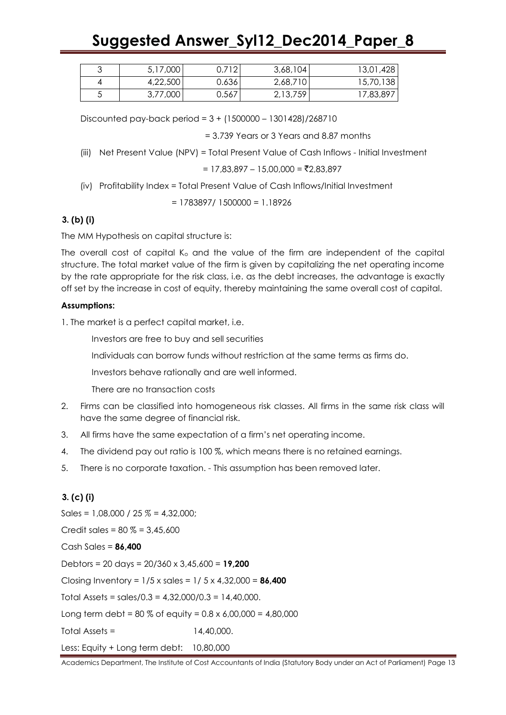| ⌒ | 5,17,000 | 0.712 | 3,68,104 | 13,01,428 |
|---|----------|-------|----------|-----------|
| 4 | 4,22,500 | 0.636 | 2,68,710 | 15,70,138 |
|   | 3,77,000 | 0.567 | 2,13,759 | 17,83,897 |

Discounted pay-back period = 3 + (1500000 – 1301428)/268710

= 3.739 Years or 3 Years and 8.87 months

(iii) Net Present Value (NPV) = Total Present Value of Cash Inflows - Initial Investment

 $= 17,83,897 - 15,00,000 = ₹2,83,897$ 

(iv) Profitability Index = Total Present Value of Cash Inflows/Initial Investment

 $= 1783897/ 1500000 = 1.18926$ 

#### **3. (b) (i)**

The MM Hypothesis on capital structure is:

The overall cost of capital  $K<sub>o</sub>$  and the value of the firm are independent of the capital structure. The total market value of the firm is given by capitalizing the net operating income by the rate appropriate for the risk class, i.e. as the debt increases, the advantage is exactly off set by the increase in cost of equity, thereby maintaining the same overall cost of capital.

#### **Assumptions:**

1. The market is a perfect capital market, i.e.

Investors are free to buy and sell securities

Individuals can borrow funds without restriction at the same terms as firms do.

Investors behave rationally and are well informed.

There are no transaction costs

- 2. Firms can be classified into homogeneous risk classes. All firms in the same risk class will have the same degree of financial risk.
- 3. All firms have the same expectation of a firm's net operating income.
- 4. The dividend pay out ratio is 100 %, which means there is no retained earnings.
- 5. There is no corporate taxation. This assumption has been removed later.

#### **3. (c) (i)**

Sales = 1,08,000 / 25 *%* = 4,32,000; Credit sales = 80 % = 3,45,600 Cash Sales = **86,400** Debtors = 20 days = 20/360 x 3,45,600 = **19,200** Closing Inventory = 1/5 x sales = 1/ 5 x 4,32,000 = **86,400** Total Assets = sales/ $0.3 = 4,32,000/0.3 = 14,40,000$ . Long term debt =  $80\%$  of equity =  $0.8 \times 6,00,000 = 4,80,000$ Total Assets = 14,40,000. Less: Equity + Long term debt: 10,80,000